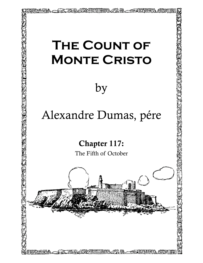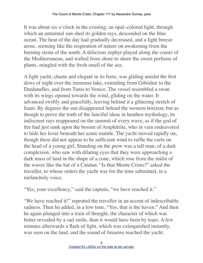It was about six o'clock in the evening; an opal–colored light, through which an autumnal sun shed its golden rays, descended on the blue ocean. The heat of the day had gradually decreased, and a light breeze arose, seeming like the respiration of nature on awakening from the burning siesta of the south. A delicious zephyr played along the coasts of the Mediterranean, and wafted from shore to shore the sweet perfume of plants, mingled with the fresh smell of the sea.

A light yacht, chaste and elegant in its form, was gliding amidst the first dews of night over the immense lake, extending from Gibraltar to the Dardanelles, and from Tunis to Venice. The vessel resembled a swan with its wings opened towards the wind, gliding on the water. It advanced swiftly and gracefully, leaving behind it a glittering stretch of foam. By degrees the sun disappeared behind the western horizon; but as though to prove the truth of the fanciful ideas in heathen mythology, its indiscreet rays reappeared on the summit of every wave, as if the god of fire had just sunk upon the bosom of Amphitrite, who in vain endeavored to hide her lover beneath her azure mantle. The yacht moved rapidly on, though there did not appear to be sufficient wind to ruffle the curls on the head of a young girl. Standing on the prow was a tall man, of a dark complexion, who saw with dilating eyes that they were approaching a dark mass of land in the shape of a cone, which rose from the midst of the waves like the hat of a Catalan. "Is that Monte Cristo?" asked the traveller, to whose orders the yacht was for the time submitted, in a melancholy voice.

"Yes, your excellency," said the captain, "we have reached it."

"We have reached it!" repeated the traveller in an accent of indescribable sadness. Then he added, in a low tone, "Yes; that is the haven." And then he again plunged into a train of thought, the character of which was better revealed by a sad smile, than it would have been by tears. A few minutes afterwards a flash of light, which was extinguished instantly, was seen on the land, and the sound of firearms reached the yacht.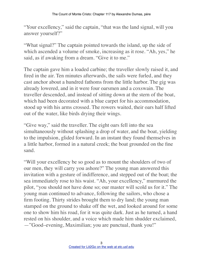"Your excellency," said the captain, "that was the land signal, will you answer yourself?"

"What signal?" The captain pointed towards the island, up the side of which ascended a volume of smoke, increasing as it rose. "Ah, yes," he said, as if awaking from a dream. "Give it to me."

The captain gave him a loaded carbine; the traveller slowly raised it, and fired in the air. Ten minutes afterwards, the sails were furled, and they cast anchor about a hundred fathoms from the little harbor. The gig was already lowered, and in it were four oarsmen and a coxswain. The traveller descended, and instead of sitting down at the stern of the boat, which had been decorated with a blue carpet for his accommodation, stood up with his arms crossed. The rowers waited, their oars half lifted out of the water, like birds drying their wings.

"Give way," said the traveller. The eight oars fell into the sea simultaneously without splashing a drop of water, and the boat, yielding to the impulsion, glided forward. In an instant they found themselves in a little harbor, formed in a natural creek; the boat grounded on the fine sand.

"Will your excellency be so good as to mount the shoulders of two of our men, they will carry you ashore?" The young man answered this invitation with a gesture of indifference, and stepped out of the boat; the sea immediately rose to his waist. "Ah, your excellency," murmured the pilot, "you should not have done so; our master will scold us for it." The young man continued to advance, following the sailors, who chose a firm footing. Thirty strides brought them to dry land; the young man stamped on the ground to shake off the wet, and looked around for some one to show him his road, for it was quite dark. Just as he turned, a hand rested on his shoulder, and a voice which made him shudder exclaimed, —"Good–evening, Maximilian; you are punctual, thank you!"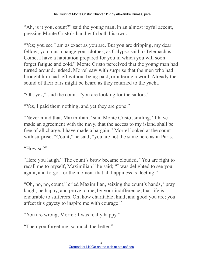"Ah, is it you, count?" said the young man, in an almost joyful accent, pressing Monte Cristo's hand with both his own.

"Yes; you see I am as exact as you are. But you are dripping, my dear fellow; you must change your clothes, as Calypso said to Telemachus. Come, I have a habitation prepared for you in which you will soon forget fatigue and cold." Monte Cristo perceived that the young man had turned around; indeed, Morrel saw with surprise that the men who had brought him had left without being paid, or uttering a word. Already the sound of their oars might be heard as they returned to the yacht.

"Oh, yes," said the count, "you are looking for the sailors."

"Yes, I paid them nothing, and yet they are gone."

"Never mind that, Maximilian," said Monte Cristo, smiling. "I have made an agreement with the navy, that the access to my island shall be free of all charge. I have made a bargain." Morrel looked at the count with surprise. "Count," he said, "you are not the same here as in Paris."

"How so?"

"Here you laugh." The count's brow became clouded. "You are right to recall me to myself, Maximilian," he said; "I was delighted to see you again, and forgot for the moment that all happiness is fleeting."

"Oh, no, no, count," cried Maximilian, seizing the count's hands, "pray laugh; be happy, and prove to me, by your indifference, that life is endurable to sufferers. Oh, how charitable, kind, and good you are; you affect this gayety to inspire me with courage."

"You are wrong, Morrel; I was really happy."

"Then you forget me, so much the better."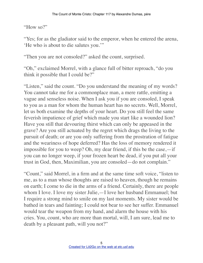## "How so?"

"Yes; for as the gladiator said to the emperor, when he entered the arena, 'He who is about to die salutes you.'"

"Then you are not consoled?" asked the count, surprised.

"Oh," exclaimed Morrel, with a glance full of bitter reproach, "do you think it possible that I could be?"

"Listen," said the count. "Do you understand the meaning of my words? You cannot take me for a commonplace man, a mere rattle, emitting a vague and senseless noise. When I ask you if you are consoled, I speak to you as a man for whom the human heart has no secrets. Well, Morrel, let us both examine the depths of your heart. Do you still feel the same feverish impatience of grief which made you start like a wounded lion? Have you still that devouring thirst which can only be appeased in the grave? Are you still actuated by the regret which drags the living to the pursuit of death; or are you only suffering from the prostration of fatigue and the weariness of hope deferred? Has the loss of memory rendered it impossible for you to weep? Oh, my dear friend, if this be the case,—if you can no longer weep, if your frozen heart be dead, if you put all your trust in God, then, Maximilian, you are consoled—do not complain."

"Count," said Morrel, in a firm and at the same time soft voice, "listen to me, as to a man whose thoughts are raised to heaven, though he remains on earth; I come to die in the arms of a friend. Certainly, there are people whom I love. I love my sister Julie,—I love her husband Emmanuel; but I require a strong mind to smile on my last moments. My sister would be bathed in tears and fainting; I could not bear to see her suffer. Emmanuel would tear the weapon from my hand, and alarm the house with his cries. You, count, who are more than mortal, will, I am sure, lead me to death by a pleasant path, will you not?"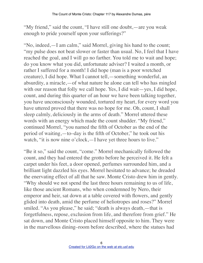"My friend," said the count, "I have still one doubt,—are you weak enough to pride yourself upon your sufferings?"

"No, indeed,—I am calm," said Morrel, giving his hand to the count; "my pulse does not beat slower or faster than usual. No, I feel that I have reached the goal, and I will go no farther. You told me to wait and hope; do you know what you did, unfortunate adviser? I waited a month, or rather I suffered for a month! I did hope (man is a poor wretched creature), I did hope. What I cannot tell,—something wonderful, an absurdity, a miracle,—of what nature he alone can tell who has mingled with our reason that folly we call hope. Yes, I did wait—yes, I did hope, count, and during this quarter of an hour we have been talking together, you have unconsciously wounded, tortured my heart, for every word you have uttered proved that there was no hope for me. Oh, count, I shall sleep calmly, deliciously in the arms of death." Morrel uttered these words with an energy which made the count shudder. "My friend," continued Morrel, "you named the fifth of October as the end of the period of waiting,—to–day is the fifth of October," he took out his watch, "it is now nine o'clock,—I have yet three hours to live."

"Be it so," said the count, "come." Morrel mechanically followed the count, and they had entered the grotto before he perceived it. He felt a carpet under his feet, a door opened, perfumes surrounded him, and a brilliant light dazzled his eyes. Morrel hesitated to advance; he dreaded the enervating effect of all that he saw. Monte Cristo drew him in gently. "Why should we not spend the last three hours remaining to us of life, like those ancient Romans, who when condemned by Nero, their emperor and heir, sat down at a table covered with flowers, and gently glided into death, amid the perfume of heliotropes and roses?" Morrel smiled. "As you please," he said; "death is always death,—that is forgetfulness, repose, exclusion from life, and therefore from grief." He sat down, and Monte Cristo placed himself opposite to him. They were in the marvellous dining–room before described, where the statues had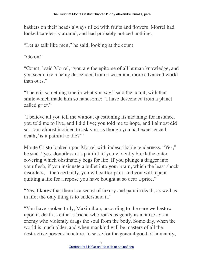baskets on their heads always filled with fruits and flowers. Morrel had looked carelessly around, and had probably noticed nothing.

"Let us talk like men," he said, looking at the count.

"Go on!"

"Count," said Morrel, "you are the epitome of all human knowledge, and you seem like a being descended from a wiser and more advanced world than ours."

"There is something true in what you say," said the count, with that smile which made him so handsome; "I have descended from a planet called grief."

"I believe all you tell me without questioning its meaning; for instance, you told me to live, and I did live; you told me to hope, and I almost did so. I am almost inclined to ask you, as though you had experienced death, 'is it painful to die?'"

Monte Cristo looked upon Morrel with indescribable tenderness. "Yes," he said, "yes, doubtless it is painful, if you violently break the outer covering which obstinately begs for life. If you plunge a dagger into your flesh, if you insinuate a bullet into your brain, which the least shock disorders,—then certainly, you will suffer pain, and you will repent quitting a life for a repose you have bought at so dear a price."

"Yes; I know that there is a secret of luxury and pain in death, as well as in life; the only thing is to understand it."

"You have spoken truly, Maximilian; according to the care we bestow upon it, death is either a friend who rocks us gently as a nurse, or an enemy who violently drags the soul from the body. Some day, when the world is much older, and when mankind will be masters of all the destructive powers in nature, to serve for the general good of humanity;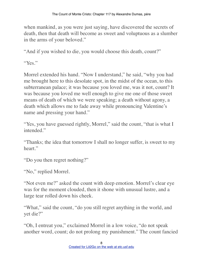when mankind, as you were just saying, have discovered the secrets of death, then that death will become as sweet and voluptuous as a slumber in the arms of your beloved."

"And if you wished to die, you would choose this death, count?"

"Yes."

Morrel extended his hand. "Now I understand," he said, "why you had me brought here to this desolate spot, in the midst of the ocean, to this subterranean palace; it was because you loved me, was it not, count? It was because you loved me well enough to give me one of those sweet means of death of which we were speaking; a death without agony, a death which allows me to fade away while pronouncing Valentine's name and pressing your hand."

"Yes, you have guessed rightly, Morrel," said the count, "that is what I intended."

"Thanks; the idea that tomorrow I shall no longer suffer, is sweet to my heart."

"Do you then regret nothing?"

"No," replied Morrel.

"Not even me?" asked the count with deep emotion. Morrel's clear eye was for the moment clouded, then it shone with unusual lustre, and a large tear rolled down his cheek.

"What," said the count, "do you still regret anything in the world, and yet die?"

"Oh, I entreat you," exclaimed Morrel in a low voice, "do not speak another word, count; do not prolong my punishment." The count fancied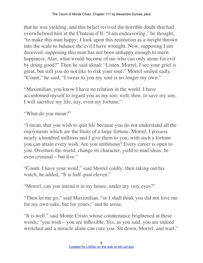that he was yielding, and this belief revived the horrible doubt that had overwhelmed him at the Chateau d'If. "I am endeavoring," he thought, "to make this man happy; I look upon this restitution as a weight thrown into the scale to balance the evil I have wrought. Now, supposing I am deceived, supposing this man has not been unhappy enough to merit happiness. Alas, what would become of me who can only atone for evil by doing good?" Then he said aloud: "Listen, Morrel, I see your grief is great, but still you do not like to risk your soul." Morrel smiled sadly. "Count," he said, "I swear to you my soul is no longer my own."

"Maximilian, you know I have no relation in the world. I have accustomed myself to regard you as my son: well, then, to save my son, I will sacrifice my life, nay, even my fortune."

"What do you mean?"

"I mean, that you wish to quit life because you do not understand all the enjoyments which are the fruits of a large fortune. Morrel, I possess nearly a hundred millions and I give them to you; with such a fortune you can attain every wish. Are you ambitious? Every career is open to you. Overturn the world, change its character, yield to mad ideas, be even criminal—but live."

"Count, I have your word," said Morrel coldly; then taking out his watch, he added, "It is half–past eleven."

"Morrel, can you intend it in my house, under my very eyes?"

"Then let me go," said Maximilian, "or I shall think you did not love me for my own sake, but for yours;" and he arose.

"It is well," said Monte Cristo whose countenance brightened at these words; "you wish—you are inflexible. Yes, as you said, you are indeed wretched and a miracle alone can cure you. Sit down, Morrel, and wait."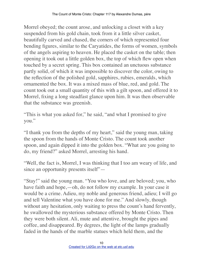Morrel obeyed; the count arose, and unlocking a closet with a key suspended from his gold chain, took from it a little silver casket, beautifully carved and chased, the corners of which represented four bending figures, similar to the Caryatides, the forms of women, symbols of the angels aspiring to heaven. He placed the casket on the table; then opening it took out a little golden box, the top of which flew open when touched by a secret spring. This box contained an unctuous substance partly solid, of which it was impossible to discover the color, owing to the reflection of the polished gold, sapphires, rubies, emeralds, which ornamented the box. It was a mixed mass of blue, red, and gold. The count took out a small quantity of this with a gilt spoon, and offered it to Morrel, fixing a long steadfast glance upon him. It was then observable that the substance was greenish.

"This is what you asked for," he said, "and what I promised to give you."

"I thank you from the depths of my heart," said the young man, taking the spoon from the hands of Monte Cristo. The count took another spoon, and again dipped it into the golden box. "What are you going to do, my friend?" asked Morrel, arresting his hand.

"Well, the fact is, Morrel, I was thinking that I too am weary of life, and since an opportunity presents itself"—

"Stay!" said the young man. "You who love, and are beloved; you, who have faith and hope,—oh, do not follow my example. In your case it would be a crime. Adieu, my noble and generous friend, adieu; I will go and tell Valentine what you have done for me." And slowly, though without any hesitation, only waiting to press the count's hand fervently, he swallowed the mysterious substance offered by Monte Cristo. Then they were both silent. Ali, mute and attentive, brought the pipes and coffee, and disappeared. By degrees, the light of the lamps gradually faded in the hands of the marble statues which held them, and the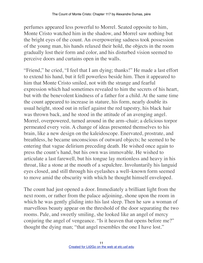perfumes appeared less powerful to Morrel. Seated opposite to him, Monte Cristo watched him in the shadow, and Morrel saw nothing but the bright eyes of the count. An overpowering sadness took possession of the young man, his hands relaxed their hold, the objects in the room gradually lost their form and color, and his disturbed vision seemed to perceive doors and curtains open in the walls.

"Friend," he cried, "I feel that I am dying; thanks!" He made a last effort to extend his hand, but it fell powerless beside him. Then it appeared to him that Monte Cristo smiled, not with the strange and fearful expression which had sometimes revealed to him the secrets of his heart, but with the benevolent kindness of a father for a child. At the same time the count appeared to increase in stature, his form, nearly double its usual height, stood out in relief against the red tapestry, his black hair was thrown back, and he stood in the attitude of an avenging angel. Morrel, overpowered, turned around in the arm–chair; a delicious torpor permeated every vein. A change of ideas presented themselves to his brain, like a new design on the kaleidoscope. Enervated, prostrate, and breathless, he became unconscious of outward objects; he seemed to be entering that vague delirium preceding death. He wished once again to press the count's hand, but his own was immovable. He wished to articulate a last farewell, but his tongue lay motionless and heavy in his throat, like a stone at the mouth of a sepulchre. Involuntarily his languid eyes closed, and still through his eyelashes a well–known form seemed to move amid the obscurity with which he thought himself enveloped.

The count had just opened a door. Immediately a brilliant light from the next room, or rather from the palace adjoining, shone upon the room in which he was gently gliding into his last sleep. Then he saw a woman of marvellous beauty appear on the threshold of the door separating the two rooms. Pale, and sweetly smiling, she looked like an angel of mercy conjuring the angel of vengeance. "Is it heaven that opens before me?" thought the dying man; "that angel resembles the one I have lost."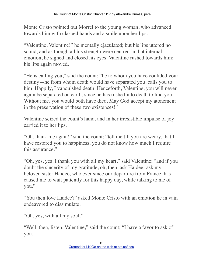Monte Cristo pointed out Morrel to the young woman, who advanced towards him with clasped hands and a smile upon her lips.

"Valentine, Valentine!" he mentally ejaculated; but his lips uttered no sound, and as though all his strength were centred in that internal emotion, he sighed and closed his eyes. Valentine rushed towards him; his lips again moved.

"He is calling you," said the count; "he to whom you have confided your destiny—he from whom death would have separated you, calls you to him. Happily, I vanquished death. Henceforth, Valentine, you will never again be separated on earth, since he has rushed into death to find you. Without me, you would both have died. May God accept my atonement in the preservation of these two existences!"

Valentine seized the count's hand, and in her irresistible impulse of joy carried it to her lips.

"Oh, thank me again!" said the count; "tell me till you are weary, that I have restored you to happiness; you do not know how much I require this assurance."

"Oh, yes, yes, I thank you with all my heart," said Valentine; "and if you doubt the sincerity of my gratitude, oh, then, ask Haidee! ask my beloved sister Haidee, who ever since our departure from France, has caused me to wait patiently for this happy day, while talking to me of you."

"You then love Haidee?" asked Monte Cristo with an emotion he in vain endeavored to dissimulate.

"Oh, yes, with all my soul."

"Well, then, listen, Valentine," said the count; "I have a favor to ask of you."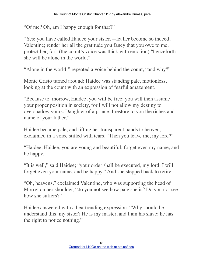"Of me? Oh, am I happy enough for that?"

"Yes; you have called Haidee your sister,—let her become so indeed, Valentine; render her all the gratitude you fancy that you owe to me; protect her, for" (the count's voice was thick with emotion) "henceforth she will be alone in the world."

"Alone in the world!" repeated a voice behind the count, "and why?"

Monte Cristo turned around; Haidee was standing pale, motionless, looking at the count with an expression of fearful amazement.

"Because to–morrow, Haidee, you will be free; you will then assume your proper position in society, for I will not allow my destiny to overshadow yours. Daughter of a prince, I restore to you the riches and name of your father."

Haidee became pale, and lifting her transparent hands to heaven, exclaimed in a voice stifled with tears, "Then you leave me, my lord?"

"Haidee, Haidee, you are young and beautiful; forget even my name, and be happy."

"It is well," said Haidee; "your order shall be executed, my lord; I will forget even your name, and be happy." And she stepped back to retire.

"Oh, heavens," exclaimed Valentine, who was supporting the head of Morrel on her shoulder, "do you not see how pale she is? Do you not see how she suffers?"

Haidee answered with a heartrending expression, "Why should he understand this, my sister? He is my master, and I am his slave; he has the right to notice nothing."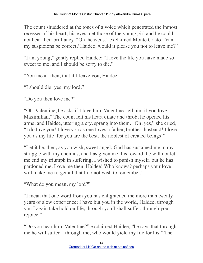The count shuddered at the tones of a voice which penetrated the inmost recesses of his heart; his eyes met those of the young girl and he could not bear their brilliancy. "Oh, heavens," exclaimed Monte Cristo, "can my suspicions be correct? Haidee, would it please you not to leave me?"

"I am young," gently replied Haidee; "I love the life you have made so sweet to me, and I should be sorry to die."

"You mean, then, that if I leave you, Haidee"—

"I should die; yes, my lord."

"Do you then love me?"

"Oh, Valentine, he asks if I love him. Valentine, tell him if you love Maximilian." The count felt his heart dilate and throb; he opened his arms, and Haidee, uttering a cry, sprang into them. "Oh, yes," she cried, "I do love you! I love you as one loves a father, brother, husband! I love you as my life, for you are the best, the noblest of created beings!"

"Let it be, then, as you wish, sweet angel; God has sustained me in my struggle with my enemies, and has given me this reward; he will not let me end my triumph in suffering; I wished to punish myself, but he has pardoned me. Love me then, Haidee! Who knows? perhaps your love will make me forget all that I do not wish to remember."

"What do you mean, my lord?"

"I mean that one word from you has enlightened me more than twenty years of slow experience; I have but you in the world, Haidee; through you I again take hold on life, through you I shall suffer, through you rejoice."

"Do you hear him, Valentine?" exclaimed Haidee; "he says that through me he will suffer—through me, who would yield my life for his." The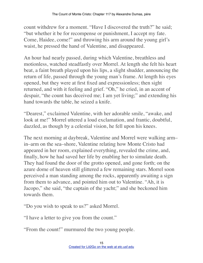count withdrew for a moment. "Have I discovered the truth?" he said; "but whether it be for recompense or punishment, I accept my fate. Come, Haidee, come!" and throwing his arm around the young girl's waist, he pressed the hand of Valentine, and disappeared.

An hour had nearly passed, during which Valentine, breathless and motionless, watched steadfastly over Morrel. At length she felt his heart beat, a faint breath played upon his lips, a slight shudder, announcing the return of life, passed through the young man's frame. At length his eyes opened, but they were at first fixed and expressionless; then sight returned, and with it feeling and grief. "Oh," he cried, in an accent of despair, "the count has deceived me; I am yet living;" and extending his hand towards the table, he seized a knife.

"Dearest," exclaimed Valentine, with her adorable smile, "awake, and look at me!" Morrel uttered a loud exclamation, and frantic, doubtful, dazzled, as though by a celestial vision, he fell upon his knees.

The next morning at daybreak, Valentine and Morrel were walking arm– in–arm on the sea–shore, Valentine relating how Monte Cristo had appeared in her room, explained everything, revealed the crime, and, finally, how he had saved her life by enabling her to simulate death. They had found the door of the grotto opened, and gone forth; on the azure dome of heaven still glittered a few remaining stars. Morrel soon perceived a man standing among the rocks, apparently awaiting a sign from them to advance, and pointed him out to Valentine. "Ah, it is Jacopo," she said, "the captain of the yacht;" and she beckoned him towards them.

"Do you wish to speak to us?" asked Morrel.

"I have a letter to give you from the count."

"From the count!" murmured the two young people.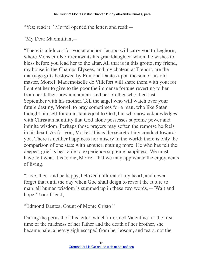"Yes; read it." Morrel opened the letter, and read:—

"My Dear Maximilian,—

"There is a felucca for you at anchor. Jacopo will carry you to Leghorn, where Monsieur Noirtier awaits his granddaughter, whom he wishes to bless before you lead her to the altar. All that is in this grotto, my friend, my house in the Champs Elysees, and my chateau at Treport, are the marriage gifts bestowed by Edmond Dantes upon the son of his old master, Morrel. Mademoiselle de Villefort will share them with you; for I entreat her to give to the poor the immense fortune reverting to her from her father, now a madman, and her brother who died last September with his mother. Tell the angel who will watch over your future destiny, Morrel, to pray sometimes for a man, who like Satan thought himself for an instant equal to God, but who now acknowledges with Christian humility that God alone possesses supreme power and infinite wisdom. Perhaps those prayers may soften the remorse he feels in his heart. As for you, Morrel, this is the secret of my conduct towards you. There is neither happiness nor misery in the world; there is only the comparison of one state with another, nothing more. He who has felt the deepest grief is best able to experience supreme happiness. We must have felt what it is to die, Morrel, that we may appreciate the enjoyments of living.

"Live, then, and be happy, beloved children of my heart, and never forget that until the day when God shall deign to reveal the future to man, all human wisdom is summed up in these two words,—'Wait and hope.' Your friend,

"Edmond Dantes, Count of Monte Cristo."

During the perusal of this letter, which informed Valentine for the first time of the madness of her father and the death of her brother, she became pale, a heavy sigh escaped from her bosom, and tears, not the